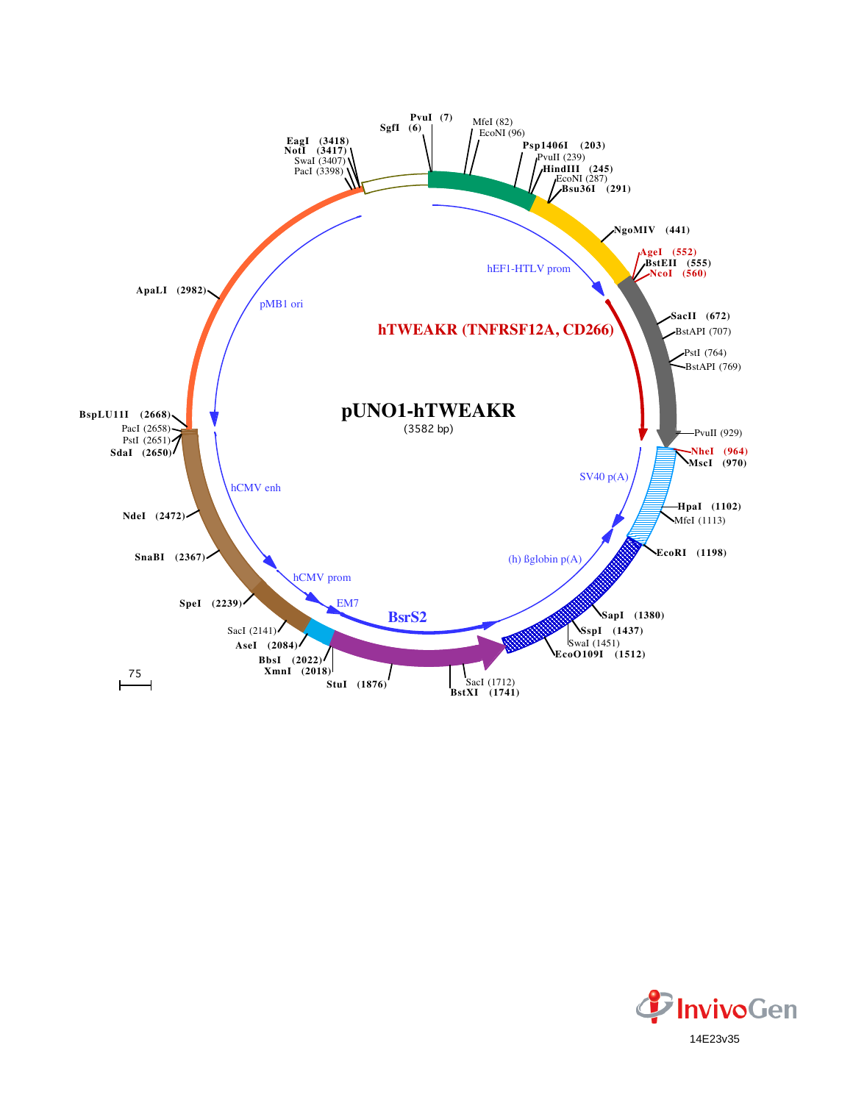

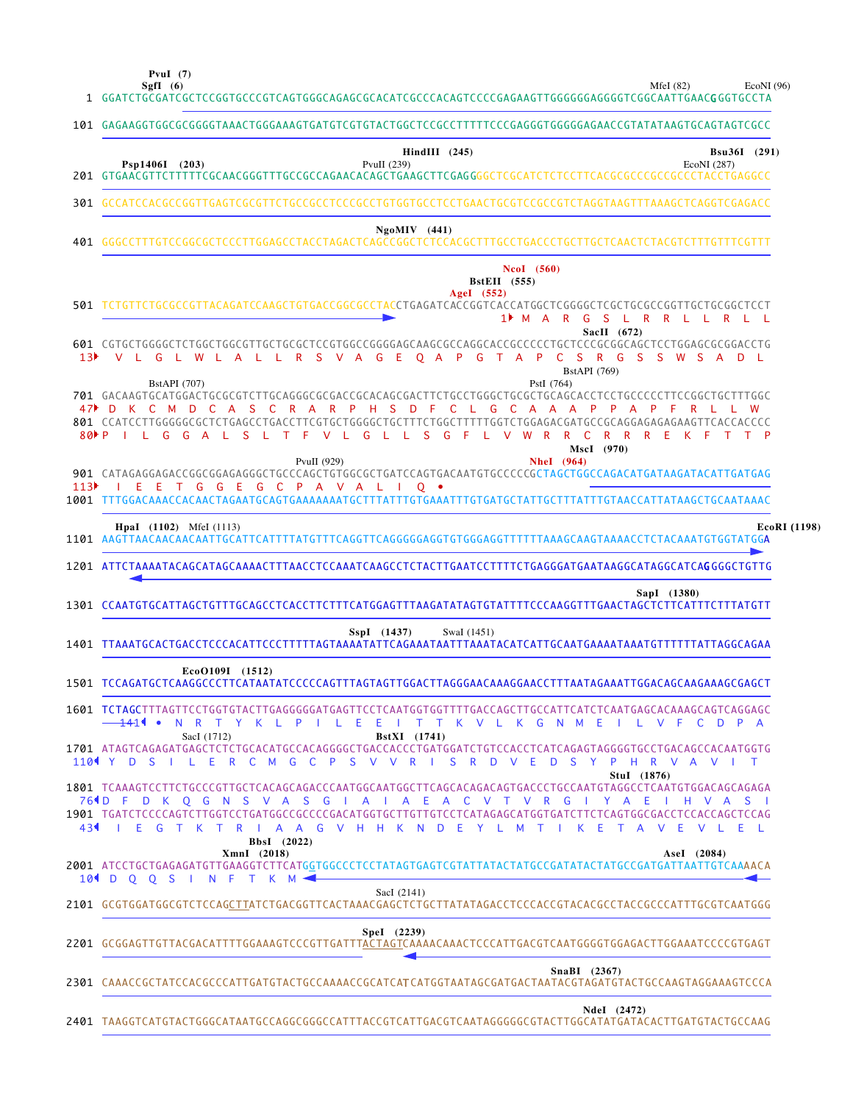**PvuI (7)**

MfeI (82) EcoNI (96)

|     | SgfI $(6)$<br>MfeI $(82)$<br>EcoNI(96)<br>1    GGATCTGCGATCGCTCCGGTGCCCGTCAGTGGGCAGAGCGCACATCGCCCACAGTCCCCGAGAAGTTGGGGGGAGGGGTCGGCAATTGAACGGGTGCCTA                                                                                                                                                                                                                                                                                                                                                                                                                                                                                                                                                                                                                                                                                                                                                                                                                                                                                                                                                                                                                                                                                                                                                                                                       |
|-----|-----------------------------------------------------------------------------------------------------------------------------------------------------------------------------------------------------------------------------------------------------------------------------------------------------------------------------------------------------------------------------------------------------------------------------------------------------------------------------------------------------------------------------------------------------------------------------------------------------------------------------------------------------------------------------------------------------------------------------------------------------------------------------------------------------------------------------------------------------------------------------------------------------------------------------------------------------------------------------------------------------------------------------------------------------------------------------------------------------------------------------------------------------------------------------------------------------------------------------------------------------------------------------------------------------------------------------------------------------------|
|     | 101 GAGAAGGTGGCGCGGGGTAAACTGGGAAAGTGATGTCGTGTACTGGCTCCGCCTTTTTCCCGAGGGTGGGGGAACCGTATATAAGTGCAGTAGTCGCC                                                                                                                                                                                                                                                                                                                                                                                                                                                                                                                                                                                                                                                                                                                                                                                                                                                                                                                                                                                                                                                                                                                                                                                                                                                    |
|     | $\textbf{HindIII}$ (245)<br>Bsu36I (291)<br>Psp1406I (203)<br>PvuII $(239)$<br>EcoNI (287)                                                                                                                                                                                                                                                                                                                                                                                                                                                                                                                                                                                                                                                                                                                                                                                                                                                                                                                                                                                                                                                                                                                                                                                                                                                                |
|     | 301 GCCATCCACGCCGGTTGAGTCGCGTTCTGCCGCCTCCCGCCTGTGGTGCCTCCTGAACTGCGTCCGCCGTCTAGGTAAGTTTAAAGCTCAGGTCGAGACC                                                                                                                                                                                                                                                                                                                                                                                                                                                                                                                                                                                                                                                                                                                                                                                                                                                                                                                                                                                                                                                                                                                                                                                                                                                  |
|     | $NgoMIV$ (441)                                                                                                                                                                                                                                                                                                                                                                                                                                                                                                                                                                                                                                                                                                                                                                                                                                                                                                                                                                                                                                                                                                                                                                                                                                                                                                                                            |
|     | NcoI (560)<br><b>BstEII</b> (555)<br>AgeI (552)<br>501 TCTGTTCTGCGCCGTTACAGATCCAAGCTGTGACCGGCGCCTACCTGAGATCACCGGTCACCATGGCTCGGGGCTCGCTGCCGGGTTGCTGCGGCTCCT<br>1 <sup>M</sup> M A R G S L R R L L R L L<br>SacII $(672)$<br>601 CGTGCTGGGGCTCTGGCTGGCGTTGCTGCGCTCCGTGGCCGGGGAGCAAGCGCCAGGCACCGCCCCCTGCTCCCGCGGCAGCTCCTGGAGCGCGGACCTG<br>13 <sup>}</sup> V L G L W L A L L R S V A G E Q A P G T A P C S R G S S W S A D L<br><b>BstAPI</b> (769)<br><b>BstAPI</b> (707)<br>PstI (764)<br>701 GACAAGTGCATGGACTGCGCGTCTTGCAGGGCGCGACCGCACAGGGACTTCTGCCTGGGCTGCGCTGCAGCACCTCCTGCCCCCTTCCGGCTGCTTTGGC<br>47 D K C M D C A S C R A R P H S D F C L G C A A A P P A P F<br>RLL<br>801 CCATCCTTGGGGGCGCTCTGAGCCTGACCTTCGTGCTGGGGCTGCTTTTCTGGCTTTTTGGTCTGGAGACGATGCCGCAGGAGAGAAGTTCACCACCCC<br>80 PILGGAL SL TFVL GL L S G FL V W R R C R R R E K F T T P<br>MscI (970)<br><b>NheI</b> (964)<br>PvuII (929)<br>901 CATAGAGGAGACCGGCGGAGAGGGCTGCCCAGCTGTGGCGCTGATCCAGTGACAATGTGCCCCCGCTAGCTGGCCAGACATGATAAGATACATTGATGAG<br>113 <sup>3</sup> I E E T G G E G C P A V A L I Q $\bullet$<br>1001 TTTGGACAAACCACAACTAGAATGCAGTGAAAAAAATGCTTTATTTGTGAAATTTGTGATGCTATTGCTTTATTTGTAACCATTATAAGCTGCAATAAAC<br><b>HpaI</b> (1102) MfeI (1113)<br>EcoRI (1198)<br>1101 AAGTTAACAACAACAATTGCATTCATTTTATGTTTCAGGTTCAGGGGGAGGTGTGGGAGGTTTTTTTAAAGCAAGTAAAACCTCTACAAATGTGGTATGGA |
|     | 1201 ATTCTAAAATACAGCATAGCAAAACTTTAACCTCCAAATCAAGCCTCTACTTGAATCCTTTTCTGAGGGATGAATAAGGCATAGGCATCAGGGGCTGTTG                                                                                                                                                                                                                                                                                                                                                                                                                                                                                                                                                                                                                                                                                                                                                                                                                                                                                                                                                                                                                                                                                                                                                                                                                                                 |
|     | SapI (1380)<br>1301 CCAATGTGCATTAGCTGTTTGCAGCCTCACCTTCTTTCATGGAGTTTAAGATATAGTGTATTTTCCCAAGGTTTGAACTAGCTCTTCATTTCTTTATGTT                                                                                                                                                                                                                                                                                                                                                                                                                                                                                                                                                                                                                                                                                                                                                                                                                                                                                                                                                                                                                                                                                                                                                                                                                                  |
|     | SspI (1437)<br>SwaI (1451)                                                                                                                                                                                                                                                                                                                                                                                                                                                                                                                                                                                                                                                                                                                                                                                                                                                                                                                                                                                                                                                                                                                                                                                                                                                                                                                                |
|     | EcoO109I (1512)<br>1501 TCCAGATGCTCAAGGCCCTTCATAATATCCCCCAGTTTAGTAGTTGGACTTAGGGAACAAAGGAACCTTTAATAGAAATTGGACAGCAAGAAAGCGAGCT                                                                                                                                                                                                                                                                                                                                                                                                                                                                                                                                                                                                                                                                                                                                                                                                                                                                                                                                                                                                                                                                                                                                                                                                                              |
|     | 1601 TCTAGCTTTAGTTCCTGGTGTACTTGAGGGGGATGAGTTCCTCAATGGTGGTTTTGACCAGCTTGCCATTCATCTCAATGAGCACAAAGCAGTCAGGAGC<br><del>14</del> 11 •<br>N R T Y K L P I L E<br>Ε<br>T T K V L K G N M<br>- E<br>V F<br>L.<br>$\mathbb{C}$<br>D P A<br>$\blacksquare$                                                                                                                                                                                                                                                                                                                                                                                                                                                                                                                                                                                                                                                                                                                                                                                                                                                                                                                                                                                                                                                                                                           |
|     | SacI (1712)<br><b>BstXI</b> (1741)<br>1701 ATAGTCAGAGATGAGCTCTCTGCACATGCCACAGGGGCTGACCACCCTGATGGATCTGTCCACCTCATCAGAGTAGGGGTGCCTGACAGCCACAATGGTG<br>110 Y D S I L E R C M G C P S V V R I<br>S.<br>R —<br>VEDSYPHRVAVIT<br>D                                                                                                                                                                                                                                                                                                                                                                                                                                                                                                                                                                                                                                                                                                                                                                                                                                                                                                                                                                                                                                                                                                                               |
| 431 | Stul (1876)<br>764D F D K Q G N S V A S G I A<br>$\vert$ A E<br>A C<br>G<br>E.<br>V T<br>$\mathsf{V}$<br>R<br>Y<br>$\mathsf{A}$<br>H V A S<br>$\mathbf{I}$<br>1901 TGATCTCCCCAGTCTTGGTCCTGATGGCCGCCCCGACATGGTGCTTGTTGTCCTCATAGAGCATGGTGATCTTCTCAGTGGCGACCTCCACCAGCTCCAG<br>I E G T K T R I A A G V H H K N D E Y L M T I<br>K E<br>TAVE<br>VL EL<br>BbsI (2022)                                                                                                                                                                                                                                                                                                                                                                                                                                                                                                                                                                                                                                                                                                                                                                                                                                                                                                                                                                                           |
|     | XmnI (2018)<br>AseI (2084)<br>2001 ATCCTGCTGAGAGATGTTGAAGGTCTTCATGGTGGCCCTCCTATAGTGAGTCGTATTATACTATGCCGATATACTATGCCGATGATTAATTGTCAAAACA<br>10 <sup>4</sup> D Q Q S I N F T K M                                                                                                                                                                                                                                                                                                                                                                                                                                                                                                                                                                                                                                                                                                                                                                                                                                                                                                                                                                                                                                                                                                                                                                            |
|     | SacI (2141)<br>2101 GCGTGGATGGCGTCTCCAGCTTATCTGACGGTTCACTAAACGAGCTCTGCTTATATAGACCTCCCACCGTACACGCCTACCGCCCATTTGCGTCAATGGG                                                                                                                                                                                                                                                                                                                                                                                                                                                                                                                                                                                                                                                                                                                                                                                                                                                                                                                                                                                                                                                                                                                                                                                                                                  |
|     | Spel (2239)                                                                                                                                                                                                                                                                                                                                                                                                                                                                                                                                                                                                                                                                                                                                                                                                                                                                                                                                                                                                                                                                                                                                                                                                                                                                                                                                               |
|     | <b>SnaBI</b> (2367)<br>2301 CAAACCGCTATCCACGCCCATTGATGTACTGCCAAAACCGCATCATCATGGTAATAGCGATGACTAATACGTAGATGTACTGCCAAGTAGGAAAGTCCCA                                                                                                                                                                                                                                                                                                                                                                                                                                                                                                                                                                                                                                                                                                                                                                                                                                                                                                                                                                                                                                                                                                                                                                                                                          |
|     | Ndel (2472)<br>2401 TAAGGTCATGTACTGGGCATAATGCCAGGCGGGCCATTTACCGTCATTGACGTCAATAGGGGGCGTACTTGGCATATGATACACTTGATGTACTGCCAAG                                                                                                                                                                                                                                                                                                                                                                                                                                                                                                                                                                                                                                                                                                                                                                                                                                                                                                                                                                                                                                                                                                                                                                                                                                  |